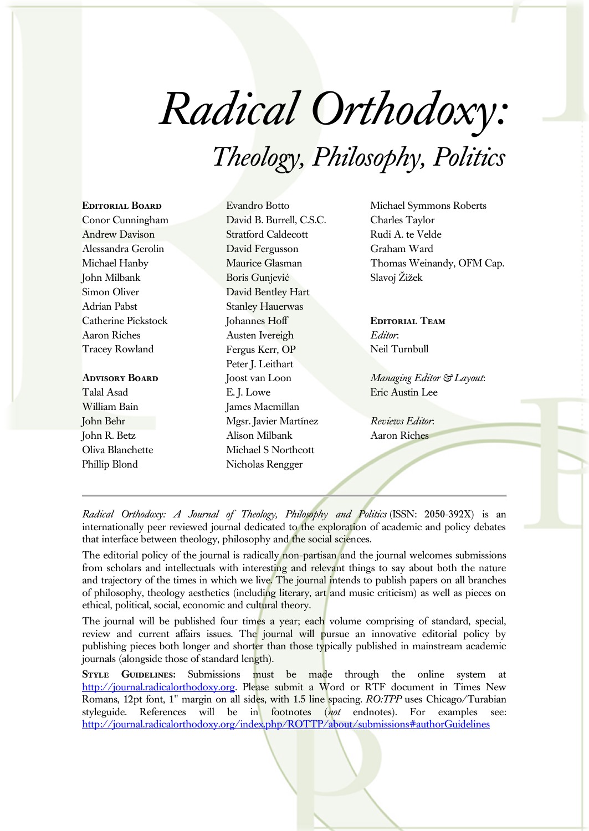# *Radical Orthodoxy: Theology, Philosophy, Politics*

## **Editorial Board** Conor Cunningham Andrew Davison Alessandra Gerolin Michael Hanby John Milbank Simon Oliver Adrian Pabst Catherine Pickstock Aaron Riches Tracey Rowland

#### **Advisory Board**

Talal Asad William Bain John Behr John R. Betz Oliva Blanchette Phillip Blond

Evandro Botto David B. Burrell, C.S.C. Stratford Caldecott David Fergusson Maurice Glasman Boris Gunjević David Bentley Hart Stanley Hauerwas Johannes Hoff Austen Ivereigh Fergus Kerr, OP Peter J. Leithart Joost van Loon E. J. Lowe James Macmillan Mgsr. Javier Martínez Alison Milbank Michael S Northcott Nicholas Rengger

Michael Symmons Roberts Charles Taylor Rudi A. te Velde Graham Ward Thomas Weinandy, OFM Cap. Slavoj Žižek

**Editorial Team** *Editor*: Neil Turnbull

*Managing Editor & Layout*: Eric Austin Lee

*Reviews Editor*: Aaron Riches

*Radical Orthodoxy: A Journal of Theology, Philosophy and Politics* (ISSN: 2050-392X) is an internationally peer reviewed journal dedicated to the exploration of academic and policy debates that interface between theology, philosophy and the social sciences.

The editorial policy of the journal is radically non-partisan and the journal welcomes submissions from scholars and intellectuals with interesting and relevant things to say about both the nature and trajectory of the times in which we live. The journal intends to publish papers on all branches of philosophy, theology aesthetics (including literary, art and music criticism) as well as pieces on ethical, political, social, economic and cultural theory.

The journal will be published four times a year; each volume comprising of standard, special, review and current affairs issues. The journal will pursue an innovative editorial policy by publishing pieces both longer and shorter than those typically published in mainstream academic journals (alongside those of standard length).

**STYLE GUIDELINES:** Submissions must be made through the online system at [http://journal.radicalorthodoxy.org.](http://journal.radicalorthodoxy.org/) Please submit a Word or RTF document in Times New Romans, 12pt font, 1" margin on all sides, with 1.5 line spacing. *RO:TPP* uses Chicago/Turabian styleguide. References will be in footnotes (*not* endnotes). For examples see: <http://journal.radicalorthodoxy.org/index.php/ROTTP/about/submissions#authorGuidelines>